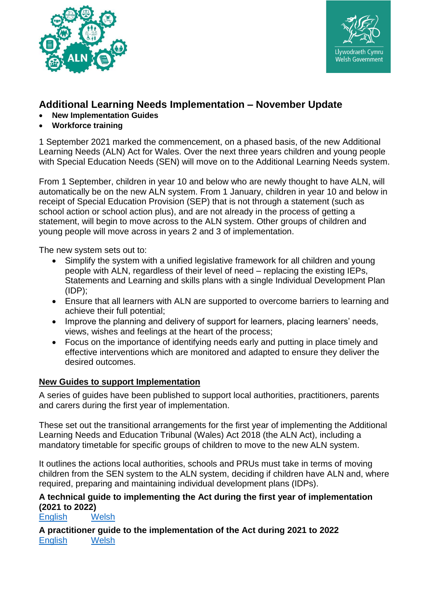



# **Additional Learning Needs Implementation – November Update**

- **New Implementation Guides**
- **Workforce training**

1 September 2021 marked the commencement, on a phased basis, of the new Additional Learning Needs (ALN) Act for Wales. Over the next three years children and young people with Special Education Needs (SEN) will move on to the Additional Learning Needs system.

From 1 September, children in year 10 and below who are newly thought to have ALN, will automatically be on the new ALN system. From 1 January, children in year 10 and below in receipt of Special Education Provision (SEP) that is not through a statement (such as school action or school action plus), and are not already in the process of getting a statement, will begin to move across to the ALN system. Other groups of children and young people will move across in years 2 and 3 of implementation.

The new system sets out to:

- Simplify the system with a unified legislative framework for all children and young people with ALN, regardless of their level of need – replacing the existing IEPs, Statements and Learning and skills plans with a single Individual Development Plan  $(IDP)$ ;
- Ensure that all learners with ALN are supported to overcome barriers to learning and achieve their full potential;
- Improve the planning and delivery of support for learners, placing learners' needs, views, wishes and feelings at the heart of the process;
- Focus on the importance of identifying needs early and putting in place timely and effective interventions which are monitored and adapted to ensure they deliver the desired outcomes.

#### **New Guides to support Implementation**

A series of guides have been published to support local authorities, practitioners, parents and carers during the first year of implementation.

These set out the transitional arrangements for the first year of implementing the Additional Learning Needs and Education Tribunal (Wales) Act 2018 (the ALN Act), including a mandatory timetable for specific groups of children to move to the new ALN system.

It outlines the actions local authorities, schools and PRUs must take in terms of moving children from the SEN system to the ALN system, deciding if children have ALN and, where required, preparing and maintaining individual development plans (IDPs).

# **A technical guide to implementing the Act during the first year of implementation (2021 to 2022)**

[English](https://gov.wales/implementing-additional-learning-needs-and-education-tribunal-wales-act-2018-technical-guide) [Welsh](https://llyw.cymru/gweithredu-deddf-anghenion-dysgu-ychwanegol-ar-tribiwnlys-addysg-cymru-2018-canllaw-technegol)

**A practitioner guide to the implementation of the Act during 2021 to 2022** [English](https://gov.wales/implementing-additional-learning-needs-and-education-tribunal-wales-act-2018-practitioner-guide) [Welsh](https://llyw.cymru/gweithredu-deddf-anghenion-dysgu-ychwanegol-ar-tribiwnlys-addysg-cymru-2018-canllaw-i-ymarferwyr)